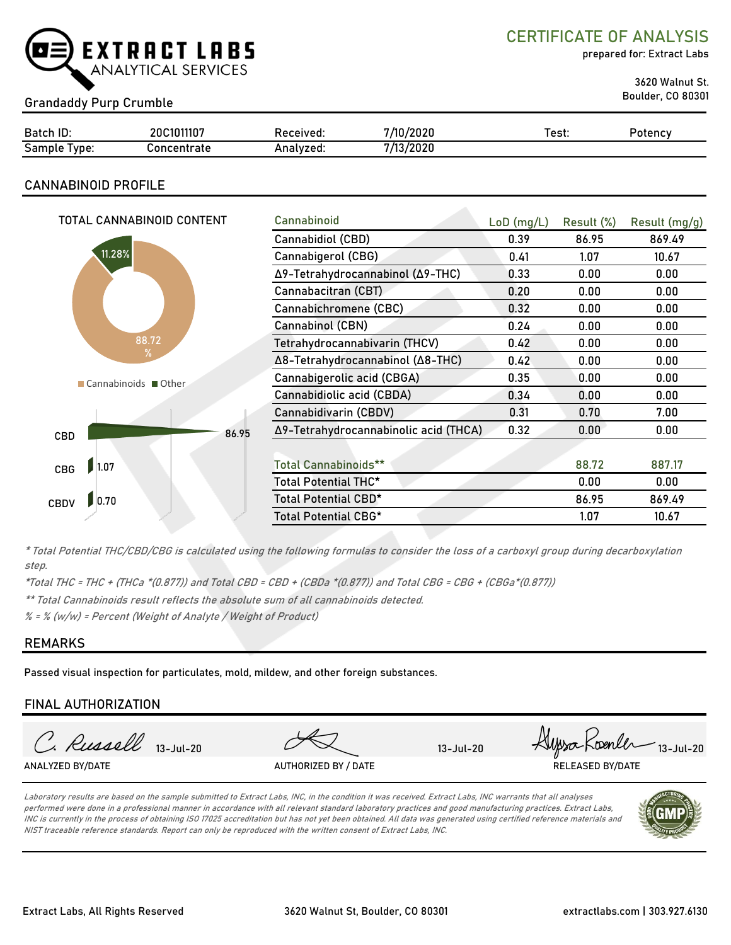

CERTIFICATE OF ANALYSIS

prepared for: Extract Labs

3620 Walnut St.

# Boulder, CO 80301 Grandaddy Purp Crumble

| Batch ID:                                    | 20C1011107  | Received. | 7/10/2020 | est: | Potencv |
|----------------------------------------------|-------------|-----------|-----------|------|---------|
| $\overline{\phantom{0}}$<br>Sample<br>l vpe: | `oncentrate | Analvzed: | 7/13/2020 |      |         |

## CANNABINOID PROFILE

| TOTAL CANNABINOID CONTENT | Cannabinoid                           | $LoD$ (mg/L) | Result (%) | Result (mg/g) |
|---------------------------|---------------------------------------|--------------|------------|---------------|
|                           | Cannabidiol (CBD)                     | 0.39         | 86.95      | 869.49        |
| 11.28%                    | Cannabigerol (CBG)                    | 0.41         | 1.07       | 10.67         |
|                           | Δ9-Tetrahydrocannabinol (Δ9-THC)      | 0.33         | 0.00       | 0.00          |
|                           | Cannabacitran (CBT)                   | 0.20         | 0.00       | 0.00          |
|                           | Cannabichromene (CBC)                 | 0.32         | 0.00       | 0.00          |
|                           | Cannabinol (CBN)                      | 0.24         | 0.00       | 0.00          |
| 88.72                     | Tetrahydrocannabivarin (THCV)         | 0.42         | 0.00       | 0.00          |
| $\%$                      | Δ8-Tetrahydrocannabinol (Δ8-THC)      | 0.42         | 0.00       | 0.00          |
| ■ Cannabinoids ■ Other    | Cannabigerolic acid (CBGA)            | 0.35         | 0.00       | 0.00          |
|                           | Cannabidiolic acid (CBDA)             | 0.34         | 0.00       | 0.00          |
|                           | Cannabidivarin (CBDV)                 | 0.31         | 0.70       | 7.00          |
| 86.95<br><b>CBD</b>       | Δ9-Tetrahydrocannabinolic acid (THCA) | 0.32         | 0.00       | 0.00          |
|                           |                                       |              |            |               |
| 1.07<br><b>CBG</b>        | <b>Total Cannabinoids**</b>           |              | 88.72      | 887.17        |
|                           | Total Potential THC*                  |              | 0.00       | 0.00          |
| 0.70<br><b>CBDV</b>       | Total Potential CBD*                  |              | 86.95      | 869.49        |
|                           | Total Potential CBG*                  |              | 1.07       | 10.67         |

\* Total Potential THC/CBD/CBG is calculated using the following formulas to consider the loss of a carboxyl group during decarboxylation step.

\*Total THC = THC + (THCa \*(0.877)) and Total CBD = CBD + (CBDa \*(0.877)) and Total CBG = CBG + (CBGa\*(0.877))

\*\* Total Cannabinoids result reflects the absolute sum of all cannabinoids detected.

 $% =$  % (w/w) = Percent (Weight of Analyte / Weight of Product)

## REMARKS

Passed visual inspection for particulates, mold, mildew, and other foreign substances.

## FINAL AUTHORIZATION

C. Russell 13-Jul-20 HUpsa Koenler 13-Jul-20 ANALYZED BY/DATE AUTHORIZED BY / DATE AUTHORIZED BY / DATE RELEASED BY/DATE

Laboratory results are based on the sample submitted to Extract Labs, INC, in the condition it was received. Extract Labs, INC warrants that all analyses performed were done in a professional manner in accordance with all relevant standard laboratory practices and good manufacturing practices. Extract Labs, INC is currently in the process of obtaining ISO 17025 accreditation but has not yet been obtained. All data was generated using certified reference materials and NIST traceable reference standards. Report can only be reproduced with the written consent of Extract Labs, INC.

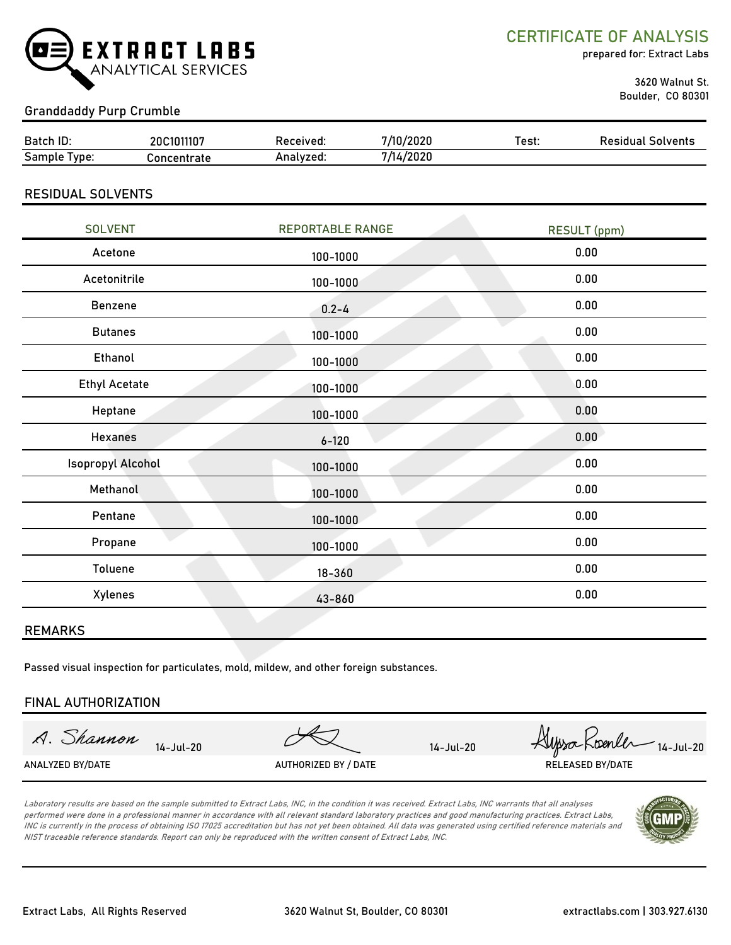

CERTIFICATE OF ANALYSIS

prepared for: Extract Labs

 3620 Walnut St. Boulder, CO 80301

## Granddaddy Purp Crumble

| Batch ID:        | 20C1011107  | Received: | /2020             | Test. | Solvents<br>Residual |
|------------------|-------------|-----------|-------------------|-------|----------------------|
| Sample<br>l vpe: | oncentrate; | Analvzed: | 4/2020<br>- /1 /. |       |                      |

### RESIDUAL SOLVENTS

| <b>SOLVENT</b>       | <b>REPORTABLE RANGE</b> | <b>RESULT (ppm)</b> |
|----------------------|-------------------------|---------------------|
| Acetone              | 100-1000                | 0.00                |
| Acetonitrile         | 100-1000                | 0.00                |
| Benzene              | $0.2 - 4$               | 0.00                |
| <b>Butanes</b>       | 100-1000                | 0.00                |
| Ethanol              | 100-1000                | 0.00                |
| <b>Ethyl Acetate</b> | 100-1000                | 0.00                |
| Heptane              | 100-1000                | 0.00                |
| <b>Hexanes</b>       | $6 - 120$               | 0.00                |
| Isopropyl Alcohol    | 100-1000                | 0.00                |
| Methanol             | 100-1000                | 0.00                |
| Pentane              | 100-1000                | 0.00                |
| Propane              | 100-1000                | 0.00                |
| Toluene              | $18 - 360$              | 0.00                |
| Xylenes              | 43-860                  | 0.00                |
|                      |                         |                     |

### REMARKS

Passed visual inspection for particulates, mold, mildew, and other foreign substances.

### FINAL AUTHORIZATION

A. Shannon 14-Jul-20 *Hypso* Koenler 14-Jul-20 ANALYZED BY/DATE AUTHORIZED BY / DATE AUTHORIZED BY / DATE RELEASED BY/DATE

Laboratory results are based on the sample submitted to Extract Labs, INC, in the condition it was received. Extract Labs, INC warrants that all analyses performed were done in a professional manner in accordance with all relevant standard laboratory practices and good manufacturing practices. Extract Labs, INC is currently in the process of obtaining ISO 17025 accreditation but has not yet been obtained. All data was generated using certified reference materials and NIST traceable reference standards. Report can only be reproduced with the written consent of Extract Labs, INC.